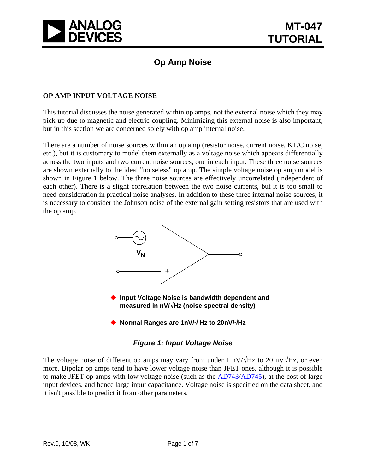

# **Op Amp Noise**

## **OP AMP INPUT VOLTAGE NOISE**

This tutorial discusses the noise generated within op amps, not the external noise which they may pick up due to magnetic and electric coupling. Minimizing this external noise is also important, but in this section we are concerned solely with op amp internal noise.

There are a number of noise sources within an op amp (resistor noise, current noise, KT/C noise, etc.), but it is customary to model them externally as a voltage noise which appears differentially across the two inputs and two current noise sources, one in each input. These three noise sources are shown externally to the ideal "noiseless" op amp. The simple voltage noise op amp model is shown in Figure 1 below. The three noise sources are effectively uncorrelated (independent of each other). There is a slight correlation between the two noise currents, but it is too small to need consideration in practical noise analyses. In addition to these three internal noise sources, it is necessary to consider the Johnson noise of the external gain setting resistors that are used with the op amp.



# *Figure 1: Input Voltage Noise*

The voltage noise of different op amps may vary from under 1 nV/ $\forall$ Hz to 20 nV $\forall$ Hz, or even more. Bipolar op amps tend to have lower voltage noise than JFET ones, although it is possible to make JFET op amps with low voltage noise (such as the [AD743/](http://www.analog.com/en/amplifiers-and-comparators/operational-amplifiers-op-amps/ad743/products/product.html)[AD745](http://www.analog.com/en/amplifiers-and-comparators/operational-amplifiers-op-amps/ad745/products/product.html)), at the cost of large input devices, and hence large input capacitance. Voltage noise is specified on the data sheet, and it isn't possible to predict it from other parameters.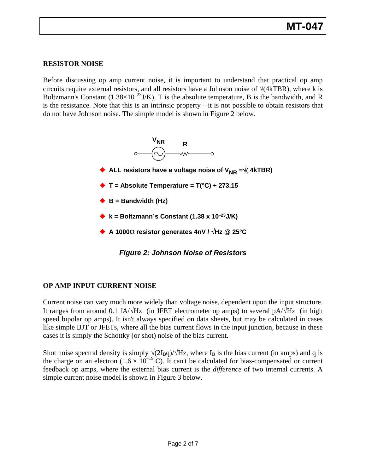# **RESISTOR NOISE**

Before discussing op amp current noise, it is important to understand that practical op amp circuits require external resistors, and all resistors have a Johnson noise of  $\sqrt{(4kTBR)}$ , where k is Boltzmann's Constant  $(1.38\times10^{-23}J/K)$ , T is the absolute temperature, B is the bandwidth, and R is the resistance. Note that this is an intrinsic property—it is not possible to obtain resistors that do not have Johnson noise. The simple model is shown in Figure 2 below.



# **OP AMP INPUT CURRENT NOISE**

Current noise can vary much more widely than voltage noise, dependent upon the input structure. It ranges from around 0.1 fA/√Hz (in JFET electrometer op amps) to several pA/√Hz (in high speed bipolar op amps). It isn't always specified on data sheets, but may be calculated in cases like simple BJT or JFETs, where all the bias current flows in the input junction, because in these cases it is simply the Schottky (or shot) noise of the bias current.

Shot noise spectral density is simply  $\sqrt{(2I_Bq)/\sqrt{Hz}}$ , where  $I_B$  is the bias current (in amps) and q is the charge on an electron  $(1.6 \times 10^{-19} \text{ C})$ . It can't be calculated for bias-compensated or current feedback op amps, where the external bias current is the *difference* of two internal currents. A simple current noise model is shown in Figure 3 below.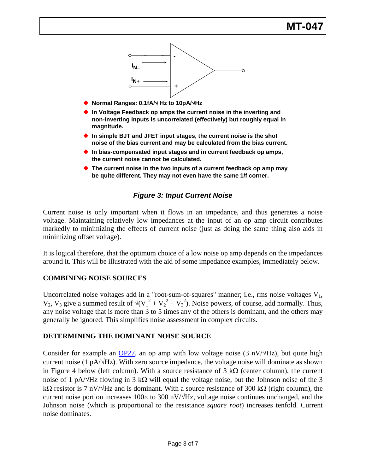

- **Normal Ranges: 0.1fA/**√ **Hz to 10pA/**√**Hz**
- ◆ In Voltage Feedback op amps the current noise in the inverting and **non-inverting inputs is uncorrelated (effectively) but roughly equal in magnitude.**
- ◆ In simple BJT and JFET input stages, the current noise is the shot **noise of the bias current and may be calculated from the bias current.**
- ◆ In bias-compensated input stages and in current feedback op amps, **the current noise cannot be calculated.**
- ◆ The current noise in the two inputs of a current feedback op amp may **be quite different. They may not even have the same 1/f corner.**

# *Figure 3: Input Current Noise*

Current noise is only important when it flows in an impedance, and thus generates a noise voltage. Maintaining relatively low impedances at the input of an op amp circuit contributes markedly to minimizing the effects of current noise (just as doing the same thing also aids in minimizing offset voltage).

It is logical therefore, that the optimum choice of a low noise op amp depends on the impedances around it. This will be illustrated with the aid of some impedance examples, immediately below.

#### **COMBINING NOISE SOURCES**

Uncorrelated noise voltages add in a "root-sum-of-squares" manner; i.e., rms noise voltages  $V_1$ ,  $V_2$ ,  $V_3$  give a summed result of  $\sqrt{(V_1^2 + V_2^2 + V_3^2)}$ . Noise powers, of course, add normally. Thus, any noise voltage that is more than 3 to 5 times any of the others is dominant, and the others may generally be ignored. This simplifies noise assessment in complex circuits.

#### **DETERMINING THE DOMINANT NOISE SOURCE**

Consider for example an  $OP27$ , an op amp with low voltage noise (3 nV/ $\forall$ Hz), but quite high current noise (1 pA/ $\sqrt{Hz}$ ). With zero source impedance, the voltage noise will dominate as shown in Figure 4 below (left column). With a source resistance of 3 k $\Omega$  (center column), the current noise of 1 pA/ $\forall$ Hz flowing in 3 k $\Omega$  will equal the voltage noise, but the Johnson noise of the 3 kΩ resistor is 7 nV/ $\sqrt{Hz}$  and is dominant. With a source resistance of 300 kΩ (right column), the current noise portion increases  $100 \times$  to 300 nV/ $\sqrt{Hz}$ , voltage noise continues unchanged, and the Johnson noise (which is proportional to the resistance *square root*) increases tenfold. Current noise dominates.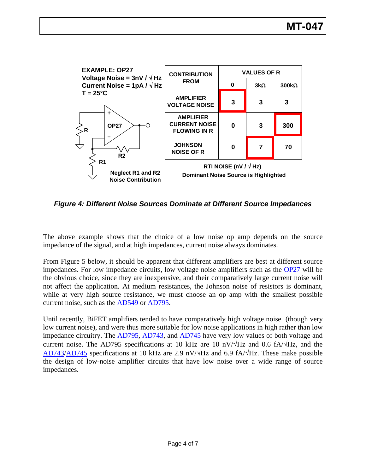

*Figure 4: Different Noise Sources Dominate at Different Source Impedances* 

The above example shows that the choice of a low noise op amp depends on the source impedance of the signal, and at high impedances, current noise always dominates.

From Figure 5 below, it should be apparent that different amplifiers are best at different source impedances. For low impedance circuits, low voltage noise amplifiers such as the [OP27](http://www.analog.com/en/other/militaryaerospace/op27/products/product.html) will be the obvious choice, since they are inexpensive, and their comparatively large current noise will not affect the application. At medium resistances, the Johnson noise of resistors is dominant, while at very high source resistance, we must choose an op amp with the smallest possible current noise, such as the [AD549](http://www.analog.com/en/other/militaryaerospace/ad549/products/product.html) or [AD795.](http://www.analog.com/en/amplifiers-and-comparators/operational-amplifiers-op-amps/ad795/products/product.html)

Until recently, BiFET amplifiers tended to have comparatively high voltage noise (though very low current noise), and were thus more suitable for low noise applications in high rather than low impedance circuitry. The [AD795,](http://www.analog.com/en/amplifiers-and-comparators/operational-amplifiers-op-amps/ad795/products/product.html) [AD743,](http://www.analog.com/en/amplifiers-and-comparators/operational-amplifiers-op-amps/ad743/products/product.html) and [AD745](http://www.analog.com/en/amplifiers-and-comparators/operational-amplifiers-op-amps/ad745/products/product.html) have very low values of both voltage and current noise. The AD795 specifications at 10 kHz are 10 nV/ $\sqrt{Hz}$  and 0.6 fA/ $\sqrt{Hz}$ , and the [AD743](http://www.analog.com/en/amplifiers-and-comparators/operational-amplifiers-op-amps/ad743/products/product.html)/[AD745](http://www.analog.com/en/amplifiers-and-comparators/operational-amplifiers-op-amps/ad745/products/product.html) specifications at 10 kHz are 2.9 nV/ $\sqrt{\text{Hz}}$  and 6.9 fA/ $\sqrt{\text{Hz}}$ . These make possible the design of low-noise amplifier circuits that have low noise over a wide range of source impedances.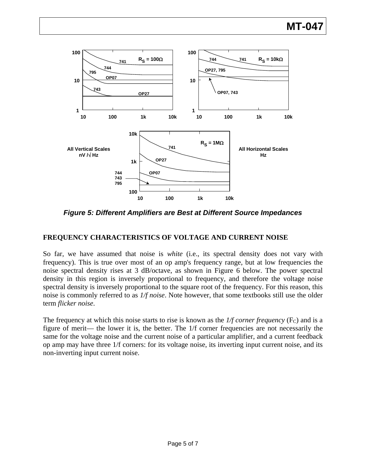

*Figure 5: Different Amplifiers are Best at Different Source Impedances* 

# **FREQUENCY CHARACTERISTICS OF VOLTAGE AND CURRENT NOISE**

So far, we have assumed that noise is *white* (i.e., its spectral density does not vary with frequency). This is true over most of an op amp's frequency range, but at low frequencies the noise spectral density rises at 3 dB/octave, as shown in Figure 6 below. The power spectral density in this region is inversely proportional to frequency, and therefore the voltage noise spectral density is inversely proportional to the square root of the frequency. For this reason, this noise is commonly referred to as *1/f noise*. Note however, that some textbooks still use the older term *flicker noise*.

The frequency at which this noise starts to rise is known as the  $1/f$  *corner frequency* ( $F_c$ ) and is a figure of merit— the lower it is, the better. The 1/f corner frequencies are not necessarily the same for the voltage noise and the current noise of a particular amplifier, and a current feedback op amp may have three 1/f corners: for its voltage noise, its inverting input current noise, and its non-inverting input current noise.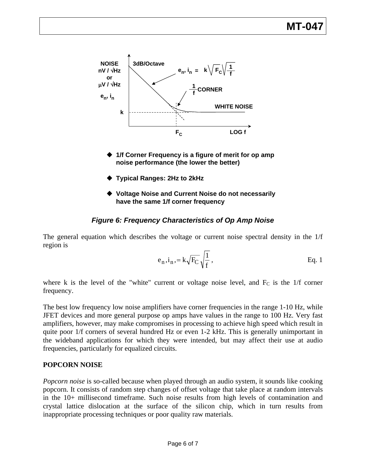

- **1/f Corner Frequency is a figure of merit for op amp noise performance (the lower the better)**
- **Typical Ranges: 2Hz to 2kHz**
- **Voltage Noise and Current Noise do not necessarily have the same 1/f corner frequency**

# *Figure 6: Frequency Characteristics of Op Amp Noise*

The general equation which describes the voltage or current noise spectral density in the 1/f region is

$$
e_n, i_n, = k\sqrt{F_C} \sqrt{\frac{1}{f}},
$$
 Eq. 1

where k is the level of the "white" current or voltage noise level, and  $F_c$  is the 1/f corner frequency.

The best low frequency low noise amplifiers have corner frequencies in the range 1-10 Hz, while JFET devices and more general purpose op amps have values in the range to 100 Hz. Very fast amplifiers, however, may make compromises in processing to achieve high speed which result in quite poor 1/f corners of several hundred Hz or even 1-2 kHz. This is generally unimportant in the wideband applications for which they were intended, but may affect their use at audio frequencies, particularly for equalized circuits.

# **POPCORN NOISE**

*Popcorn noise* is so-called because when played through an audio system, it sounds like cooking popcorn. It consists of random step changes of offset voltage that take place at random intervals in the 10+ millisecond timeframe. Such noise results from high levels of contamination and crystal lattice dislocation at the surface of the silicon chip, which in turn results from inappropriate processing techniques or poor quality raw materials.